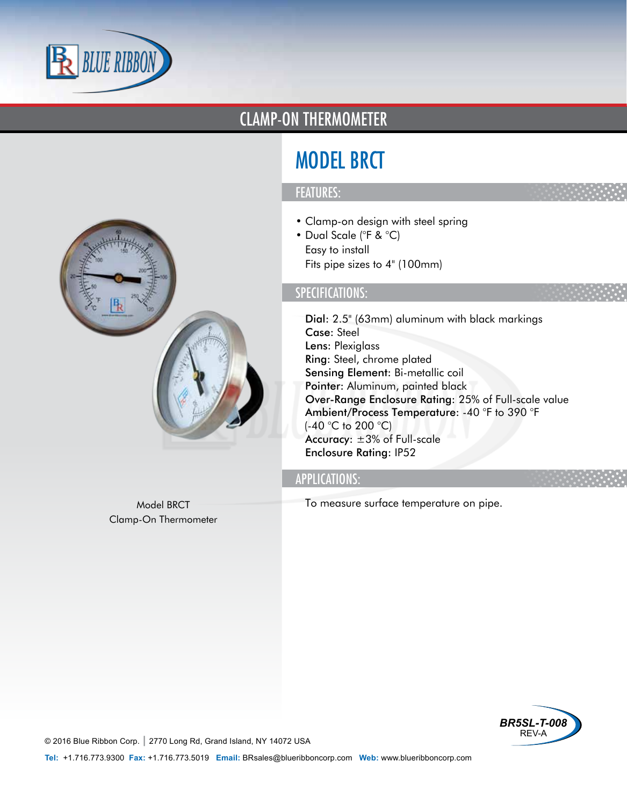

### CLAMP-ON THERMOMETER

# MODEL BRCT

#### FEATURES:

- Clamp-on design with steel spring
- Dual Scale (°F & °C)
- Easy to install
- Fits pipe sizes to 4" (100mm)

#### SPECIFICATIONS:

- Dial: 2.5" (63mm) aluminum with black markings
- Case: Steel
- Lens: Plexiglass
- Ring: Steel, chrome plated
- Sensing Element: Bi-metallic coil
- Pointer: Aluminum, painted black
- Over-Range Enclosure Rating: 25% of Full-scale value
- Ambient/Process Temperature: -40 °F to 390 °F (-40 °C to 200 °C)
- Accuracy: ±3% of Full-scale
- Enclosure Rating: IP52

#### APPLICATIONS:

• To measure surface temperature on pipe.



Model BRCT Clamp-On Thermometer